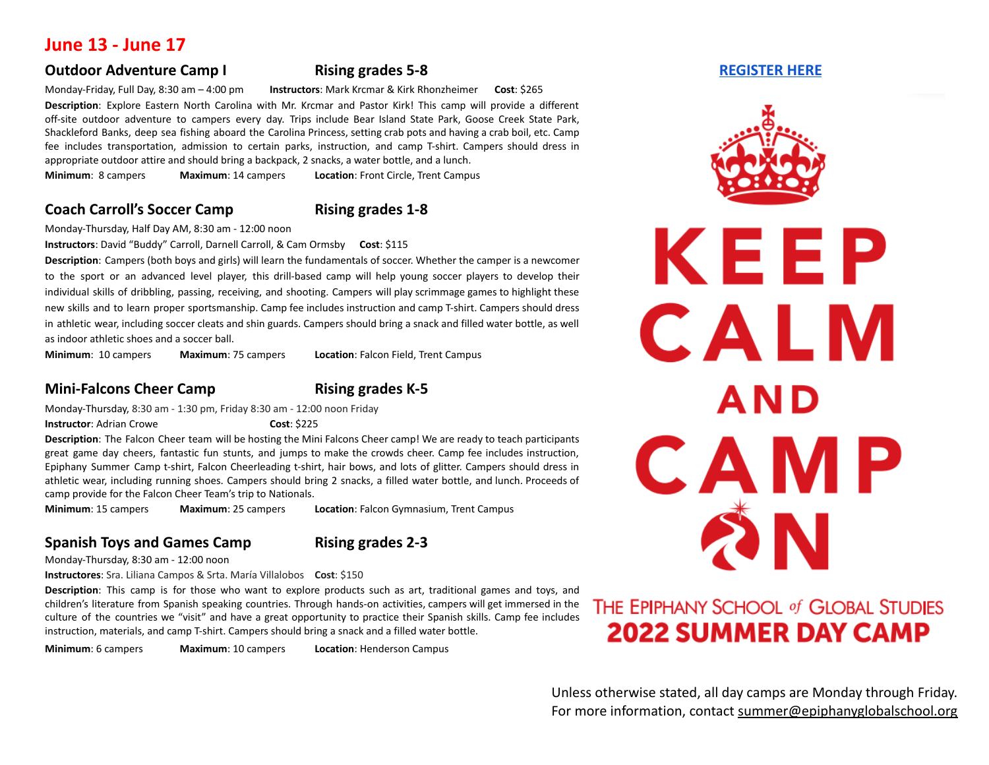# **June 13 - June 17**

### **Outdoor Adventure Camp I Rising grades 5-8 [REGISTER](https://payit.nelnet.net/form/vydAbTST) HERE**

Monday-Friday, Full Day, 8:30 am – 4:00 pm **Instructors**: Mark Krcmar & Kirk Rhonzheimer **Cost**: \$265 **Description**: Explore Eastern North Carolina with Mr. Krcmar and Pastor Kirk! This camp will provide a different off-site outdoor adventure to campers every day. Trips include Bear Island State Park, Goose Creek State Park, Shackleford Banks, deep sea fishing aboard the Carolina Princess, setting crab pots and having a crab boil, etc. Camp fee includes transportation, admission to certain parks, instruction, and camp T-shirt. Campers should dress in appropriate outdoor attire and should bring a backpack, 2 snacks, a water bottle, and a lunch. **Minimum**: 8 campers **Maximum**: 14 campers **Location**: Front Circle, Trent Campus

### **Coach Carroll's Soccer Camp Rising grades 1-8**

Monday-Thursday, Half Day AM, 8:30 am - 12:00 noon

**Instructors**: David "Buddy" Carroll, Darnell Carroll, & Cam Ormsby **Cost**: \$115

**Description**: Campers (both boys and girls) will learn the fundamentals of soccer. Whether the camper is a newcomer to the sport or an advanced level player, this drill-based camp will help young soccer players to develop their individual skills of dribbling, passing, receiving, and shooting. Campers will play scrimmage games to highlight these new skills and to learn proper sportsmanship. Camp fee includes instruction and camp T-shirt. Campers should dress in athletic wear, including soccer cleats and shin guards. Campers should bring a snack and filled water bottle, as well as indoor athletic shoes and a soccer ball.

**Minimum**: 10 campers **Maximum**: 75 campers **Location**: Falcon Field, Trent Campus

### **Mini-Falcons Cheer Camp Rising grades K-5**

Monday-Thursday, 8:30 am - 1:30 pm, Friday 8:30 am - 12:00 noon Friday

**Instructor**: Adrian Crowe **Cost: \$225** 

**Description**: The Falcon Cheer team will be hosting the Mini Falcons Cheer camp! We are ready to teach participants great game day cheers, fantastic fun stunts, and jumps to make the crowds cheer. Camp fee includes instruction, Epiphany Summer Camp t-shirt, Falcon Cheerleading t-shirt, hair bows, and lots of glitter. Campers should dress in athletic wear, including running shoes. Campers should bring 2 snacks, a filled water bottle, and lunch. Proceeds of camp provide for the Falcon Cheer Team's trip to Nationals.

**Minimum**: 15 campers **Maximum**: 25 campers **Location**: Falcon Gymnasium, Trent Campus

### **Spanish Toys and Games Camp Rising grades 2-3**

Monday-Thursday, 8:30 am - 12:00 noon

**Instructores**: Sra. Liliana Campos & Srta. María Villalobos **Cost**: \$150

**Description**: This camp is for those who want to explore products such as art, traditional games and toys, and children's literature from Spanish speaking countries. Through hands-on activities, campers will get immersed in the culture of the countries we "visit" and have a great opportunity to practice their Spanish skills. Camp fee includes instruction, materials, and camp T-shirt. Campers should bring a snack and a filled water bottle.

**Minimum**: 6 campers **Maximum**: 10 campers **Location**: Henderson Campus



# THE EPIPHANY SCHOOL of GLOBAL STUDIES **2022 SUMMER DAY CAMP**

Unless otherwise stated, all day camps are Monday through Friday. For more information, contact [summe](mailto:summer@epiphanyglobalschool.org)r@epiphanyglobalschool.org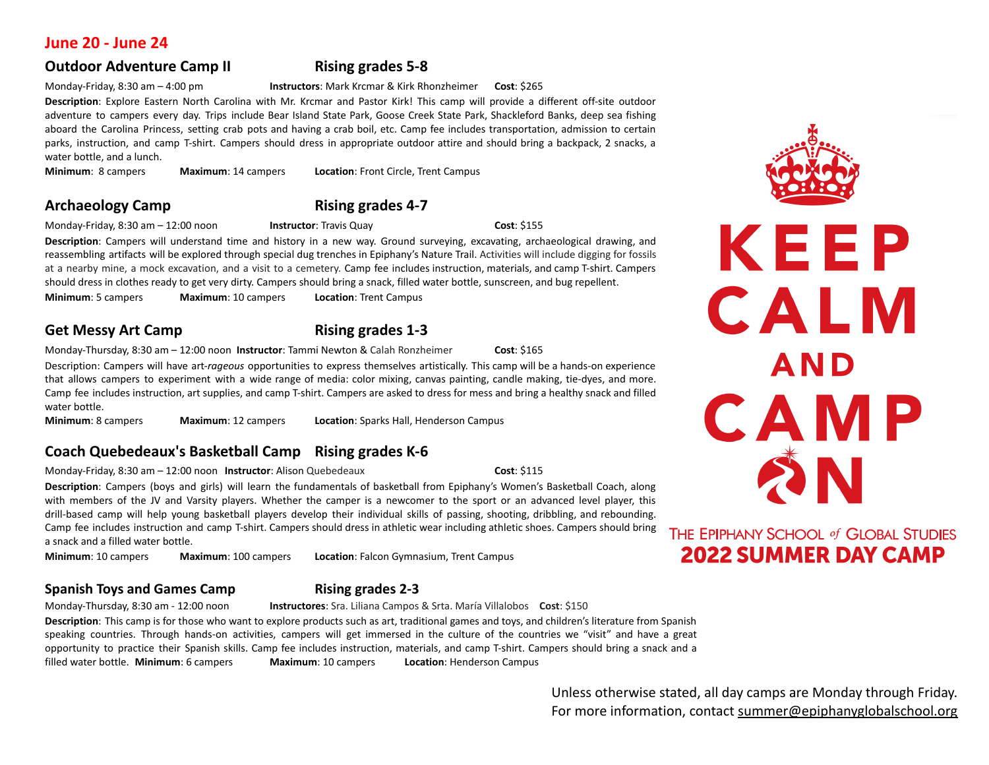### **June 20 - June 24**

## **Outdoor Adventure Camp II Rising grades 5-8**

### Monday-Friday, 8:30 am – 4:00 pm **Instructors**: Mark Krcmar & Kirk Rhonzheimer **Cost**: \$265

**Description**: Explore Eastern North Carolina with Mr. Krcmar and Pastor Kirk! This camp will provide a different off-site outdoor adventure to campers every day. Trips include Bear Island State Park, Goose Creek State Park, Shackleford Banks, deep sea fishing aboard the Carolina Princess, setting crab pots and having a crab boil, etc. Camp fee includes transportation, admission to certain parks, instruction, and camp T-shirt. Campers should dress in appropriate outdoor attire and should bring a backpack, 2 snacks, a water bottle, and a lunch.

**Minimum**: 8 campers **Maximum**: 14 campers **Location**: Front Circle, Trent Campus

Monday-Friday, 8:30 am – 12:00 noon **Instructor**: Travis Quay **Cost**: \$155

**Description**: Campers will understand time and history in a new way. Ground surveying, excavating, archaeological drawing, and reassembling artifacts will be explored through special dug trenches in Epiphany's Nature Trail. Activities will include digging for fossils at a nearby mine, a mock excavation, and a visit to a cemetery. Camp fee includes instruction, materials, and camp T-shirt. Campers should dress in clothes ready to get very dirty. Campers should bring a snack, filled water bottle, sunscreen, and bug repellent.

**Minimum**: 5 campers **Maximum**: 10 campers **Location**: Trent Campus

**Get Messy Art Camp Rising grades 1-3**

Monday-Thursday, 8:30 am – 12:00 noon **Instructor**: Tammi Newton & Calah Ronzheimer **Cost**: \$165

Description: Campers will have art-*rageous* opportunities to express themselves artistically. This camp will be a hands-on experience that allows campers to experiment with a wide range of media: color mixing, canvas painting, candle making, tie-dyes, and more. Camp fee includes instruction, art supplies, and camp T-shirt. Campers are asked to dress for mess and bring a healthy snack and filled water bottle.

**Minimum**: 8 campers **Maximum**: 12 campers **Location**: Sparks Hall, Henderson Campus

# **Coach Quebedeaux's Basketball Camp Rising grades K-6**

Monday-Friday, 8:30 am – 12:00 noon **Instructor**: Alison Quebedeaux **Cost**: \$115

**Description**: Campers (boys and girls) will learn the fundamentals of basketball from Epiphany's Women's Basketball Coach, along with members of the JV and Varsity players. Whether the camper is a newcomer to the sport or an advanced level player, this drill-based camp will help young basketball players develop their individual skills of passing, shooting, dribbling, and rebounding. Camp fee includes instruction and camp T-shirt. Campers should dress in athletic wear including athletic shoes. Campers should bring a snack and a filled water bottle.

**Minimum**: 10 campers **Maximum**: 100 campers **Location**: Falcon Gymnasium, Trent Campus

### **Spanish Toys and Games Camp Rising grades 2-3**

Monday-Thursday, 8:30 am - 12:00 noon **Instructores**: Sra. Liliana Campos & Srta. María Villalobos **Cost**: \$150

**Description**: This camp is for those who want to explore products such as art, traditional games and toys, and children's literature from Spanish speaking countries. Through hands-on activities, campers will get immersed in the culture of the countries we "visit" and have a great opportunity to practice their Spanish skills. Camp fee includes instruction, materials, and camp T-shirt. Campers should bring a snack and a filled water bottle. **Minimum**: 6 campers **Maximum**: 10 campers **Location**: Henderson Campus

> Unless otherwise stated, all day camps are Monday through Friday. For more information, contact [summe](mailto:summer@epiphanyglobalschool.org)r@epiphanyglobalschool.org



# THE EPIPHANY SCHOOL of GLOBAL STUDIES **2022 SUMMER DAY CAMP**

# **Archaeology Camp Rising grades 4-7**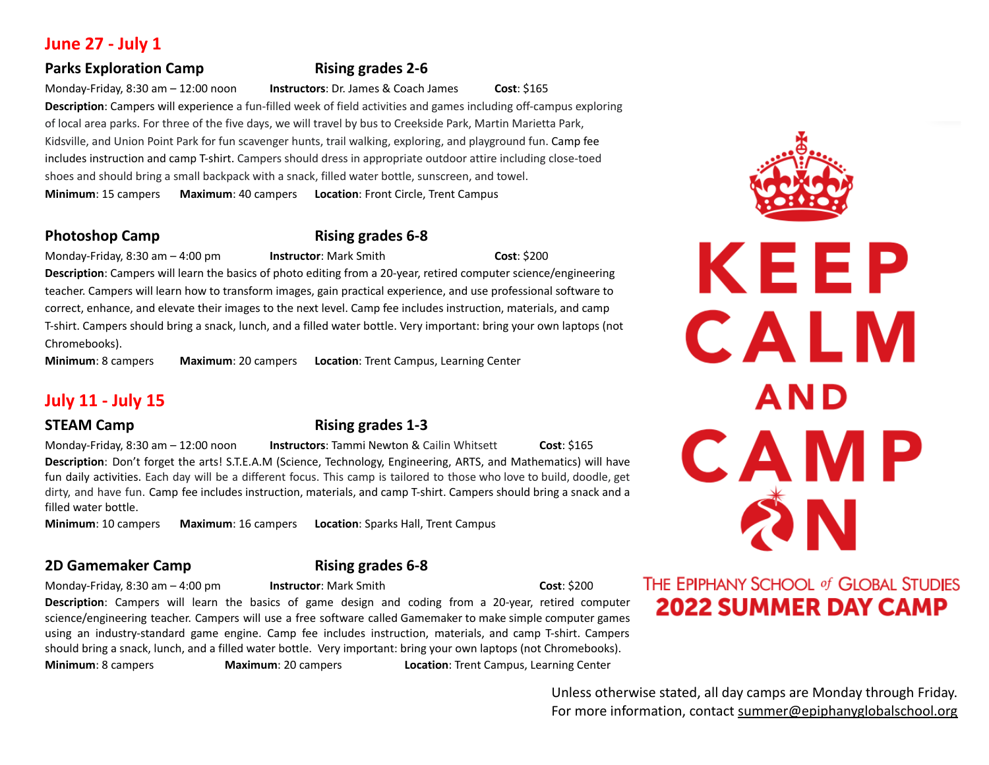# **June 27 - July 1**

# **Parks Exploration Camp Rising grades 2-6**

Monday-Friday, 8:30 am – 12:00 noon **Instructors**: Dr. James & Coach James **Cost**: \$165

**Description**: Campers will experience a fun-filled week of field activities and games including off-campus exploring of local area parks. For three of the five days, we will travel by bus to Creekside Park, Martin Marietta Park, Kidsville, and Union Point Park for fun scavenger hunts, trail walking, exploring, and playground fun. Camp fee includes instruction and camp T-shirt. Campers should dress in appropriate outdoor attire including close-toed shoes and should bring a small backpack with a snack, filled water bottle, sunscreen, and towel. **Minimum**: 15 campers **Maximum**: 40 campers **Location**: Front Circle, Trent Campus

# **Photoshop Camp Rising grades 6-8**

Monday-Friday, 8:30 am – 4:00 pm **Instructor**: Mark Smith **Cost**: \$200

**Description**: Campers will learn the basics of photo editing from a 20-year, retired computer science/engineering teacher. Campers will learn how to transform images, gain practical experience, and use professional software to correct, enhance, and elevate their images to the next level. Camp fee includes instruction, materials, and camp T-shirt. Campers should bring a snack, lunch, and a filled water bottle. Very important: bring your own laptops (not Chromebooks).

**Minimum**: 8 campers **Maximum**: 20 campers **Location**: Trent Campus, Learning Center

# **July 11 - July 15**

# **STEAM Camp Rising grades 1-3**

Monday-Friday, 8:30 am – 12:00 noon **Instructors**: Tammi Newton & Cailin Whitsett **Cost**: \$165 **Description**: Don't forget the arts! S.T.E.A.M (Science, Technology, Engineering, ARTS, and Mathematics) will have fun daily activities. Each day will be a different focus. This camp is tailored to those who love to build, doodle, get dirty, and have fun. Camp fee includes instruction, materials, and camp T-shirt. Campers should bring a snack and a filled water bottle.

**Minimum**: 10 campers **Maximum**: 16 campers **Location**: Sparks Hall, Trent Campus

# **2D Gamemaker Camp Rising grades 6-8**

### Monday-Friday, 8:30 am – 4:00 pm **Instructor**: Mark Smith **Cost**: \$200

**Description**: Campers will learn the basics of game design and coding from a 20-year, retired computer science/engineering teacher. Campers will use a free software called Gamemaker to make simple computer games using an industry-standard game engine. Camp fee includes instruction, materials, and camp T-shirt. Campers should bring a snack, lunch, and a filled water bottle. Very important: bring your own laptops (not Chromebooks).

**Minimum**: 8 campers **Maximum**: 20 campers **Location**: Trent Campus, Learning Center

CALM **AND** CAMP ŹΝ THE EPIPHANY SCHOOL of GLOBAL STUDIES

**2022 SUMMER DAY CAMP** 

KEEP

Unless otherwise stated, all day camps are Monday through Friday. For more information, contact [summe](mailto:summer@epiphanyglobalschool.org)r@epiphanyglobalschool.org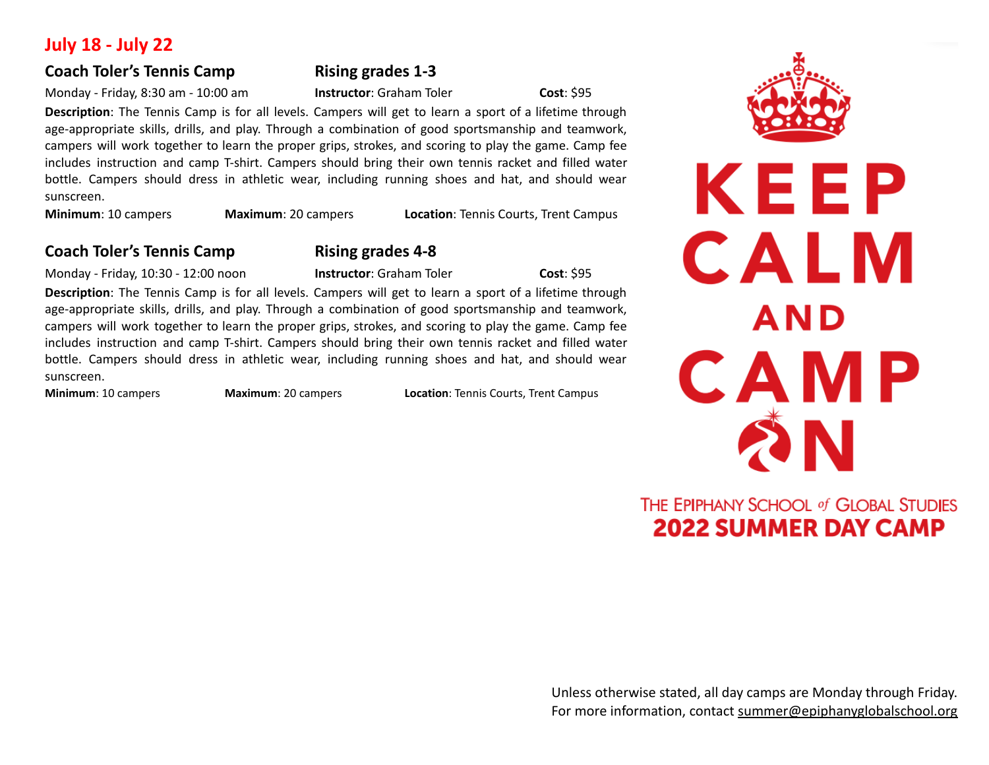# **July 18 - July 22**

# **Coach Toler's Tennis Camp Rising grades 1-3**

Monday - Friday, 8:30 am - 10:00 am **Instructor**: Graham Toler **Cost**: \$95

**Description**: The Tennis Camp is for all levels. Campers will get to learn a sport of a lifetime through age-appropriate skills, drills, and play. Through a combination of good sportsmanship and teamwork, campers will work together to learn the proper grips, strokes, and scoring to play the game. Camp fee includes instruction and camp T-shirt. Campers should bring their own tennis racket and filled water bottle. Campers should dress in athletic wear, including running shoes and hat, and should wear sunscreen.

**Minimum**: 10 campers **Maximum**: 20 campers **Location**: Tennis Courts, Trent Campus

# **Coach Toler's Tennis Camp Rising grades 4-8**

Monday - Friday, 10:30 - 12:00 noon **Instructor**: Graham Toler **Cost**: \$95

**Description**: The Tennis Camp is for all levels. Campers will get to learn a sport of a lifetime through age-appropriate skills, drills, and play. Through a combination of good sportsmanship and teamwork, campers will work together to learn the proper grips, strokes, and scoring to play the game. Camp fee includes instruction and camp T-shirt. Campers should bring their own tennis racket and filled water bottle. Campers should dress in athletic wear, including running shoes and hat, and should wear sunscreen.

**Minimum**: 10 campers **Maximum**: 20 campers **Location**: Tennis Courts, Trent Campus



# KEEP CALM **AND** CAMP 2 N

# THE EPIPHANY SCHOOL of GLOBAL STUDIES **2022 SUMMER DAY CAMP**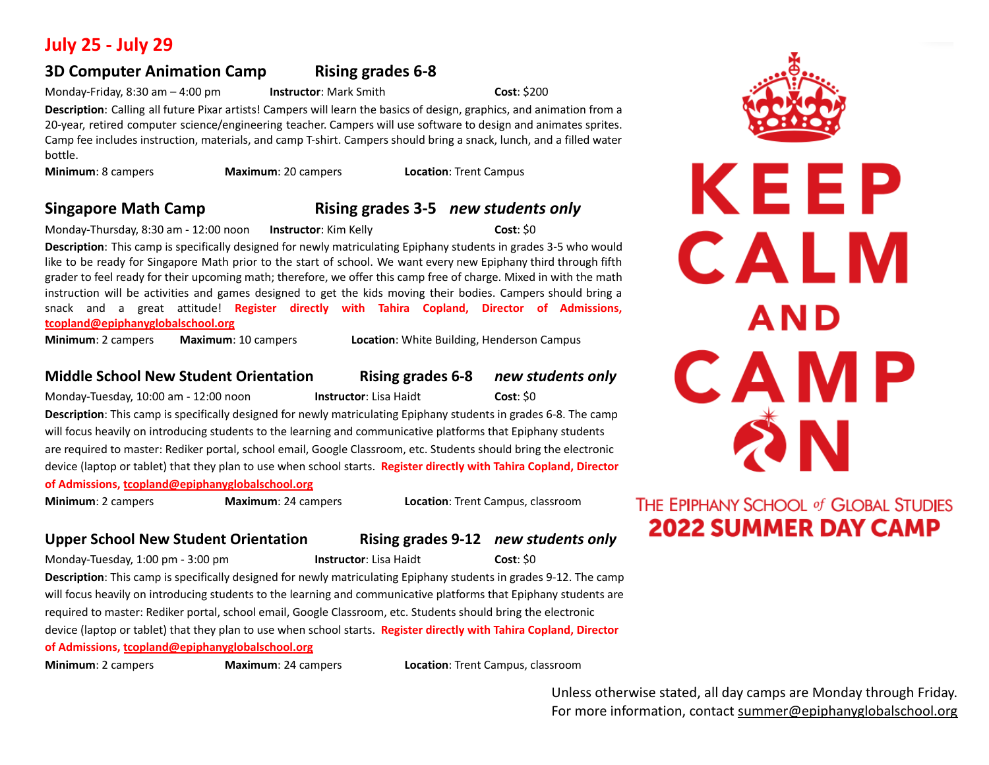# **July 25 - July 29**

# **3D Computer Animation Camp Rising grades 6-8**

Monday-Friday, 8:30 am – 4:00 pm **Instructor**: Mark Smith **Cost**: \$200

**Description**: Calling all future Pixar artists! Campers will learn the basics of design, graphics, and animation from a 20-year, retired computer science/engineering teacher. Campers will use software to design and animates sprites. Camp fee includes instruction, materials, and camp T-shirt. Campers should bring a snack, lunch, and a filled water bottle.

**Minimum**: 8 campers **Maximum**: 20 campers **Location**: Trent Campus

# **Singapore Math Camp Rising grades 3-5** *new students only*

Monday-Thursday, 8:30 am - 12:00 noon **Instructor**: Kim Kelly **Cost**: \$0

**Description**: This camp is specifically designed for newly matriculating Epiphany students in grades 3-5 who would like to be ready for Singapore Math prior to the start of school. We want every new Epiphany third through fifth grader to feel ready for their upcoming math; therefore, we offer this camp free of charge. Mixed in with the math instruction will be activities and games designed to get the kids moving their bodies. Campers should bring a snack and a great attitude! **Register directly with Tahira Copland, Director of Admissions, [tcopland@epiphanyglobalschool.org](mailto:tcopland@epiphanyglobalschool.org)**

**Minimum**: 2 campers **Maximum**: 10 campers **Location**: White Building, Henderson Campus

## **Middle School New Student Orientation Rising grades 6-8** *new students only*

Monday-Tuesday, 10:00 am - 12:00 noon **Instructor**: Lisa Haidt **Cost**: \$0

**Description**: This camp is specifically designed for newly matriculating Epiphany students in grades 6-8. The camp will focus heavily on introducing students to the learning and communicative platforms that Epiphany students are required to master: Rediker portal, school email, Google Classroom, etc. Students should bring the electronic device (laptop or tablet) that they plan to use when school starts. **Register directly with Tahira Copland, Director of Admissions, [tcopland@epiphanyglobalschool.org](mailto:tcopland@epiphanyglobalschool.org)**

**Minimum**: 2 campers **Maximum**: 24 campers **Location**: Trent Campus, classroom

# **Upper School New Student Orientation Rising grades 9-12** *new students only*

Monday-Tuesday, 1:00 pm - 3:00 pm **Instructor**: Lisa Haidt **Cost**: \$0 **Description**: This camp is specifically designed for newly matriculating Epiphany students in grades 9-12. The camp will focus heavily on introducing students to the learning and communicative platforms that Epiphany students are required to master: Rediker portal, school email, Google Classroom, etc. Students should bring the electronic device (laptop or tablet) that they plan to use when school starts. **Register directly with Tahira Copland, Director of Admissions, [tcopland@epiphanyglobalschool.org](mailto:tcopland@epiphanyglobalschool.org)**

**Minimum**: 2 campers **Maximum**: 24 campers **Location**: Trent Campus, classroom

Unless otherwise stated, all day camps are Monday through Friday. For more information, contact [summe](mailto:summer@epiphanyglobalschool.org)r@epiphanyglobalschool.org



KEEP

CALM

**AND** 

CAMP

# **SN** THE EPIPHANY SCHOOL of GLOBAL STUDIES **2022 SUMMER DAY CAMP**